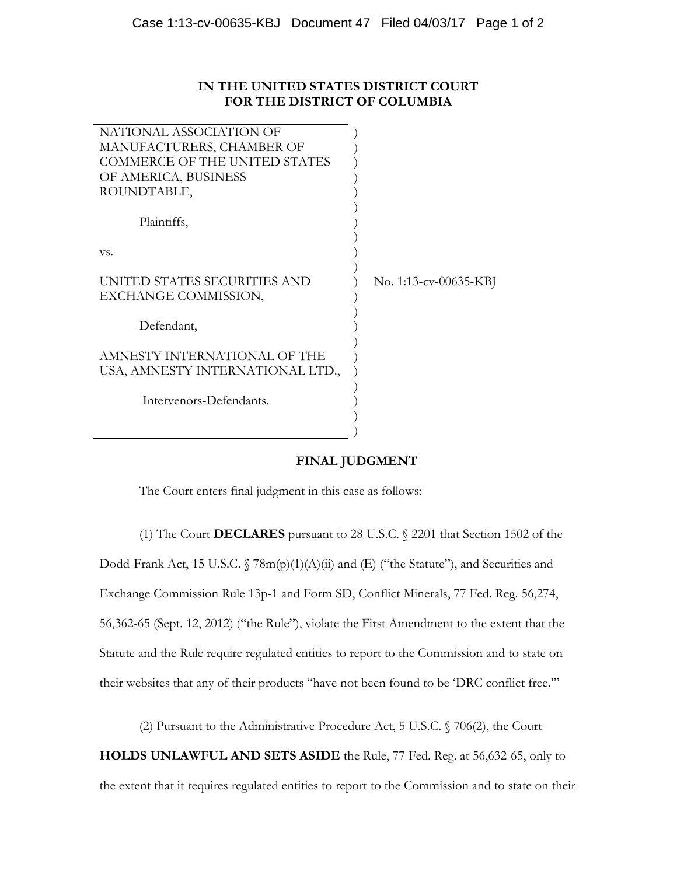## **IN THE UNITED STATES DISTRICT COURT FOR THE DISTRICT OF COLUMBIA**

| NATIONAL ASSOCIATION OF              |                       |
|--------------------------------------|-----------------------|
| MANUFACTURERS, CHAMBER OF            |                       |
| <b>COMMERCE OF THE UNITED STATES</b> |                       |
| OF AMERICA, BUSINESS                 |                       |
| ROUNDTABLE,                          |                       |
|                                      |                       |
| Plaintiffs,                          |                       |
|                                      |                       |
| VS.                                  |                       |
|                                      |                       |
| UNITED STATES SECURITIES AND         | No. 1:13-cv-00635-KBJ |
| EXCHANGE COMMISSION,                 |                       |
|                                      |                       |
| Defendant,                           |                       |
|                                      |                       |
| AMNESTY INTERNATIONAL OF THE         |                       |
| USA, AMNESTY INTERNATIONAL LTD.,     |                       |
|                                      |                       |
| Intervenors-Defendants.              |                       |
|                                      |                       |
|                                      |                       |

## **FINAL JUDGMENT**

The Court enters final judgment in this case as follows:

(1) The Court **DECLARES** pursuant to 28 U.S.C. § 2201 that Section 1502 of the Dodd-Frank Act, 15 U.S.C. § 78m(p)(1)(A)(ii) and (E) ("the Statute"), and Securities and Exchange Commission Rule 13p-1 and Form SD, Conflict Minerals, 77 Fed. Reg. 56,274, 56,362-65 (Sept. 12, 2012) ("the Rule"), violate the First Amendment to the extent that the Statute and the Rule require regulated entities to report to the Commission and to state on their websites that any of their products "have not been found to be 'DRC conflict free.'"

(2) Pursuant to the Administrative Procedure Act, 5 U.S.C. § 706(2), the Court

**HOLDS UNLAWFUL AND SETS ASIDE** the Rule, 77 Fed. Reg. at 56,632-65, only to

the extent that it requires regulated entities to report to the Commission and to state on their